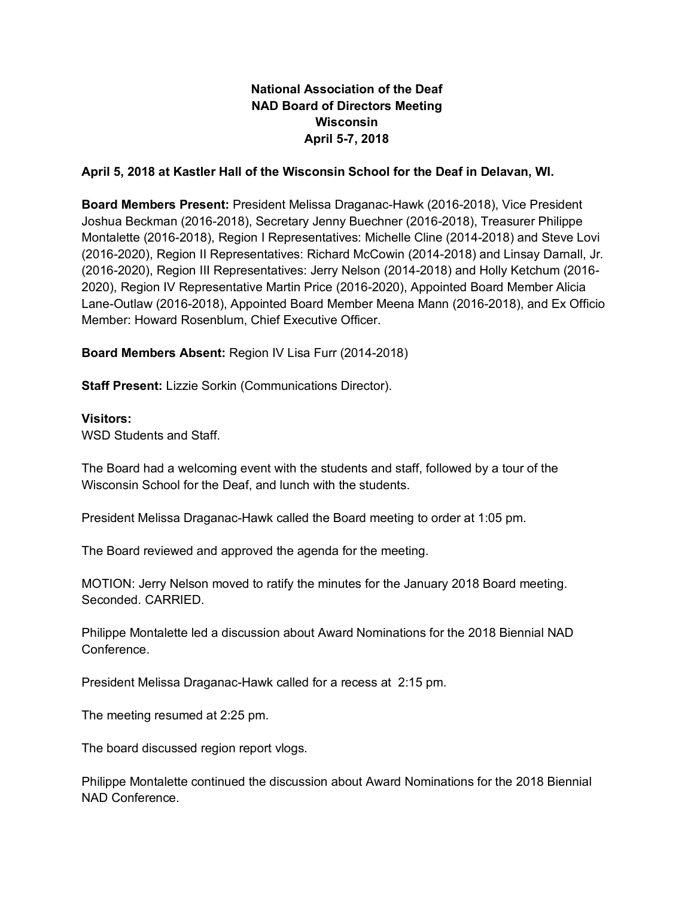# **National Association of the Deaf NAD Board of Directors Meeting Wisconsin April 5-7, 2018**

## **April 5, 2018 at Kastler Hall of the Wisconsin School for the Deaf in Delavan, WI.**

**Board Members Present:** President Melissa Draganac-Hawk (2016-2018), Vice President Joshua Beckman (2016-2018), Secretary Jenny Buechner (2016-2018), Treasurer Philippe Montalette (2016-2018), Region I Representatives: Michelle Cline (2014-2018) and Steve Lovi (2016-2020), Region II Representatives: Richard McCowin (2014-2018) and Linsay Darnall, Jr. (2016-2020), Region III Representatives: Jerry Nelson (2014-2018) and Holly Ketchum (2016- 2020), Region IV Representative Martin Price (2016-2020), Appointed Board Member Alicia Lane-Outlaw (2016-2018), Appointed Board Member Meena Mann (2016-2018), and Ex Officio Member: Howard Rosenblum, Chief Executive Officer.

**Board Members Absent:** Region IV Lisa Furr (2014-2018)

**Staff Present:** Lizzie Sorkin (Communications Director).

### **Visitors:**

WSD Students and Staff.

The Board had a welcoming event with the students and staff, followed by a tour of the Wisconsin School for the Deaf, and lunch with the students.

President Melissa Draganac-Hawk called the Board meeting to order at 1:05 pm.

The Board reviewed and approved the agenda for the meeting.

MOTION: Jerry Nelson moved to ratify the minutes for the January 2018 Board meeting. Seconded. CARRIED.

Philippe Montalette led a discussion about Award Nominations for the 2018 Biennial NAD Conference.

President Melissa Draganac-Hawk called for a recess at 2:15 pm.

The meeting resumed at 2:25 pm.

The board discussed region report vlogs.

Philippe Montalette continued the discussion about Award Nominations for the 2018 Biennial NAD Conference.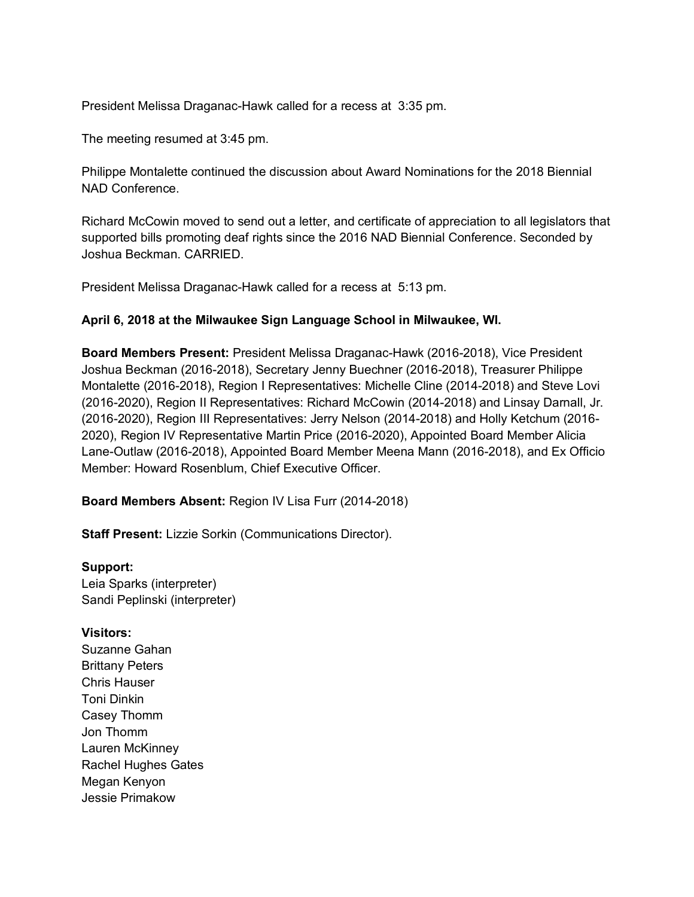President Melissa Draganac-Hawk called for a recess at 3:35 pm.

The meeting resumed at 3:45 pm.

Philippe Montalette continued the discussion about Award Nominations for the 2018 Biennial NAD Conference.

Richard McCowin moved to send out a letter, and certificate of appreciation to all legislators that supported bills promoting deaf rights since the 2016 NAD Biennial Conference. Seconded by Joshua Beckman. CARRIED.

President Melissa Draganac-Hawk called for a recess at 5:13 pm.

### **April 6, 2018 at the Milwaukee Sign Language School in Milwaukee, WI.**

**Board Members Present:** President Melissa Draganac-Hawk (2016-2018), Vice President Joshua Beckman (2016-2018), Secretary Jenny Buechner (2016-2018), Treasurer Philippe Montalette (2016-2018), Region I Representatives: Michelle Cline (2014-2018) and Steve Lovi (2016-2020), Region II Representatives: Richard McCowin (2014-2018) and Linsay Darnall, Jr. (2016-2020), Region III Representatives: Jerry Nelson (2014-2018) and Holly Ketchum (2016- 2020), Region IV Representative Martin Price (2016-2020), Appointed Board Member Alicia Lane-Outlaw (2016-2018), Appointed Board Member Meena Mann (2016-2018), and Ex Officio Member: Howard Rosenblum, Chief Executive Officer.

**Board Members Absent:** Region IV Lisa Furr (2014-2018)

**Staff Present:** Lizzie Sorkin (Communications Director).

### **Support:**

Leia Sparks (interpreter) Sandi Peplinski (interpreter)

### **Visitors:**

Suzanne Gahan Brittany Peters Chris Hauser Toni Dinkin Casey Thomm Jon Thomm Lauren McKinney Rachel Hughes Gates Megan Kenyon Jessie Primakow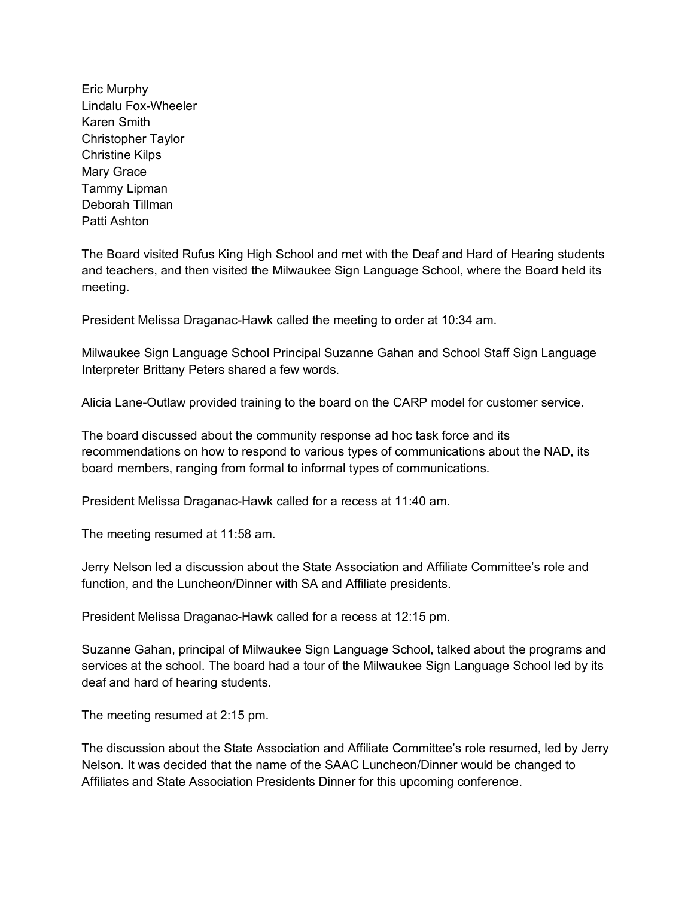Eric Murphy Lindalu Fox-Wheeler Karen Smith Christopher Taylor Christine Kilps Mary Grace Tammy Lipman Deborah Tillman Patti Ashton

The Board visited Rufus King High School and met with the Deaf and Hard of Hearing students and teachers, and then visited the Milwaukee Sign Language School, where the Board held its meeting.

President Melissa Draganac-Hawk called the meeting to order at 10:34 am.

Milwaukee Sign Language School Principal Suzanne Gahan and School Staff Sign Language Interpreter Brittany Peters shared a few words.

Alicia Lane-Outlaw provided training to the board on the CARP model for customer service.

The board discussed about the community response ad hoc task force and its recommendations on how to respond to various types of communications about the NAD, its board members, ranging from formal to informal types of communications.

President Melissa Draganac-Hawk called for a recess at 11:40 am.

The meeting resumed at 11:58 am.

Jerry Nelson led a discussion about the State Association and Affiliate Committee's role and function, and the Luncheon/Dinner with SA and Affiliate presidents.

President Melissa Draganac-Hawk called for a recess at 12:15 pm.

Suzanne Gahan, principal of Milwaukee Sign Language School, talked about the programs and services at the school. The board had a tour of the Milwaukee Sign Language School led by its deaf and hard of hearing students.

The meeting resumed at 2:15 pm.

The discussion about the State Association and Affiliate Committee's role resumed, led by Jerry Nelson. It was decided that the name of the SAAC Luncheon/Dinner would be changed to Affiliates and State Association Presidents Dinner for this upcoming conference.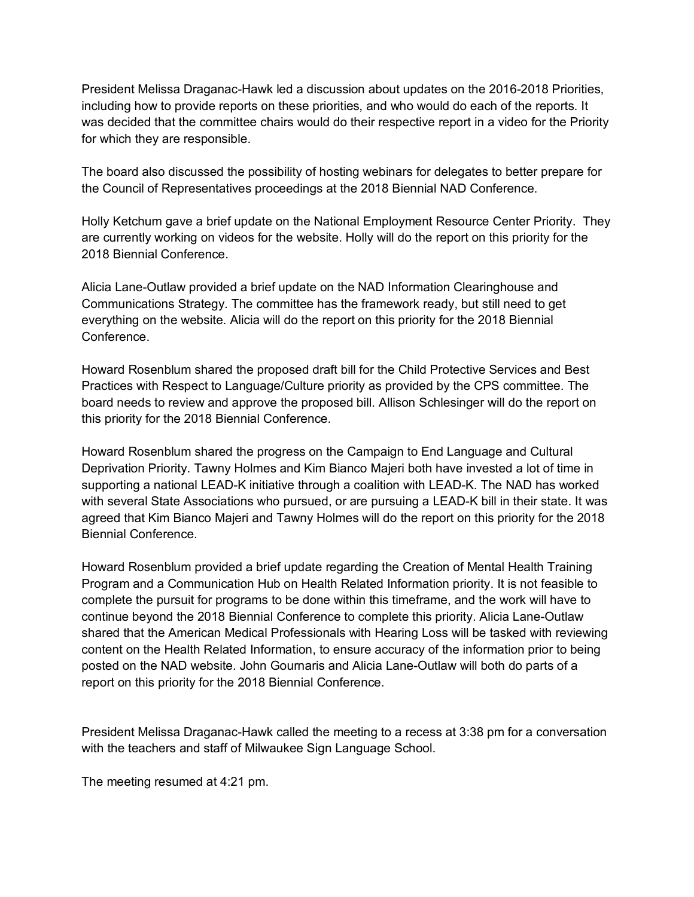President Melissa Draganac-Hawk led a discussion about updates on the 2016-2018 Priorities, including how to provide reports on these priorities, and who would do each of the reports. It was decided that the committee chairs would do their respective report in a video for the Priority for which they are responsible.

The board also discussed the possibility of hosting webinars for delegates to better prepare for the Council of Representatives proceedings at the 2018 Biennial NAD Conference.

Holly Ketchum gave a brief update on the National Employment Resource Center Priority. They are currently working on videos for the website. Holly will do the report on this priority for the 2018 Biennial Conference.

Alicia Lane-Outlaw provided a brief update on the NAD Information Clearinghouse and Communications Strategy. The committee has the framework ready, but still need to get everything on the website. Alicia will do the report on this priority for the 2018 Biennial Conference.

Howard Rosenblum shared the proposed draft bill for the Child Protective Services and Best Practices with Respect to Language/Culture priority as provided by the CPS committee. The board needs to review and approve the proposed bill. Allison Schlesinger will do the report on this priority for the 2018 Biennial Conference.

Howard Rosenblum shared the progress on the Campaign to End Language and Cultural Deprivation Priority. Tawny Holmes and Kim Bianco Majeri both have invested a lot of time in supporting a national LEAD-K initiative through a coalition with LEAD-K. The NAD has worked with several State Associations who pursued, or are pursuing a LEAD-K bill in their state. It was agreed that Kim Bianco Majeri and Tawny Holmes will do the report on this priority for the 2018 Biennial Conference.

Howard Rosenblum provided a brief update regarding the Creation of Mental Health Training Program and a Communication Hub on Health Related Information priority. It is not feasible to complete the pursuit for programs to be done within this timeframe, and the work will have to continue beyond the 2018 Biennial Conference to complete this priority. Alicia Lane-Outlaw shared that the American Medical Professionals with Hearing Loss will be tasked with reviewing content on the Health Related Information, to ensure accuracy of the information prior to being posted on the NAD website. John Gournaris and Alicia Lane-Outlaw will both do parts of a report on this priority for the 2018 Biennial Conference.

President Melissa Draganac-Hawk called the meeting to a recess at 3:38 pm for a conversation with the teachers and staff of Milwaukee Sign Language School.

The meeting resumed at 4:21 pm.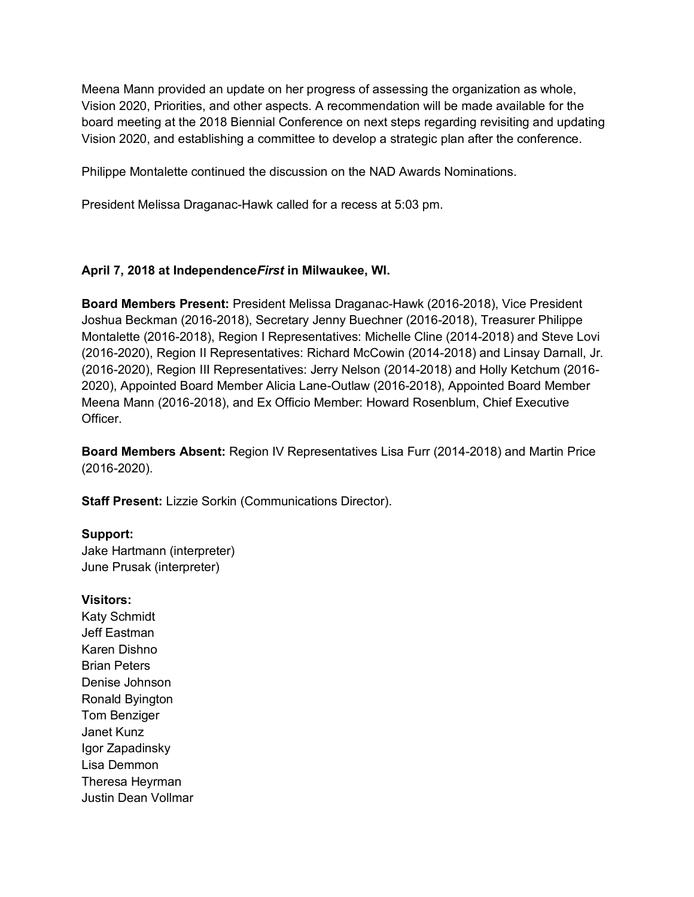Meena Mann provided an update on her progress of assessing the organization as whole, Vision 2020, Priorities, and other aspects. A recommendation will be made available for the board meeting at the 2018 Biennial Conference on next steps regarding revisiting and updating Vision 2020, and establishing a committee to develop a strategic plan after the conference.

Philippe Montalette continued the discussion on the NAD Awards Nominations.

President Melissa Draganac-Hawk called for a recess at 5:03 pm.

### **April 7, 2018 at Independence***First* **in Milwaukee, WI.**

**Board Members Present:** President Melissa Draganac-Hawk (2016-2018), Vice President Joshua Beckman (2016-2018), Secretary Jenny Buechner (2016-2018), Treasurer Philippe Montalette (2016-2018), Region I Representatives: Michelle Cline (2014-2018) and Steve Lovi (2016-2020), Region II Representatives: Richard McCowin (2014-2018) and Linsay Darnall, Jr. (2016-2020), Region III Representatives: Jerry Nelson (2014-2018) and Holly Ketchum (2016- 2020), Appointed Board Member Alicia Lane-Outlaw (2016-2018), Appointed Board Member Meena Mann (2016-2018), and Ex Officio Member: Howard Rosenblum, Chief Executive Officer.

**Board Members Absent:** Region IV Representatives Lisa Furr (2014-2018) and Martin Price (2016-2020).

**Staff Present:** Lizzie Sorkin (Communications Director).

#### **Support:**

Jake Hartmann (interpreter) June Prusak (interpreter)

#### **Visitors:**

Katy Schmidt Jeff Eastman Karen Dishno Brian Peters Denise Johnson Ronald Byington Tom Benziger Janet Kunz Igor Zapadinsky Lisa Demmon Theresa Heyrman Justin Dean Vollmar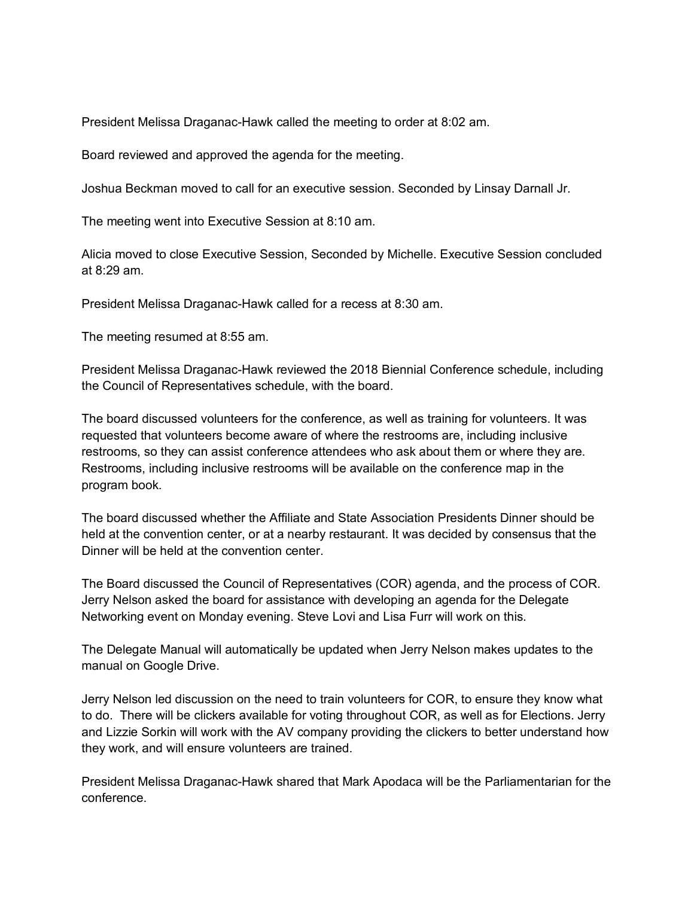President Melissa Draganac-Hawk called the meeting to order at 8:02 am.

Board reviewed and approved the agenda for the meeting.

Joshua Beckman moved to call for an executive session. Seconded by Linsay Darnall Jr.

The meeting went into Executive Session at 8:10 am.

Alicia moved to close Executive Session, Seconded by Michelle. Executive Session concluded at 8:29 am.

President Melissa Draganac-Hawk called for a recess at 8:30 am.

The meeting resumed at 8:55 am.

President Melissa Draganac-Hawk reviewed the 2018 Biennial Conference schedule, including the Council of Representatives schedule, with the board.

The board discussed volunteers for the conference, as well as training for volunteers. It was requested that volunteers become aware of where the restrooms are, including inclusive restrooms, so they can assist conference attendees who ask about them or where they are. Restrooms, including inclusive restrooms will be available on the conference map in the program book.

The board discussed whether the Affiliate and State Association Presidents Dinner should be held at the convention center, or at a nearby restaurant. It was decided by consensus that the Dinner will be held at the convention center.

The Board discussed the Council of Representatives (COR) agenda, and the process of COR. Jerry Nelson asked the board for assistance with developing an agenda for the Delegate Networking event on Monday evening. Steve Lovi and Lisa Furr will work on this.

The Delegate Manual will automatically be updated when Jerry Nelson makes updates to the manual on Google Drive.

Jerry Nelson led discussion on the need to train volunteers for COR, to ensure they know what to do. There will be clickers available for voting throughout COR, as well as for Elections. Jerry and Lizzie Sorkin will work with the AV company providing the clickers to better understand how they work, and will ensure volunteers are trained.

President Melissa Draganac-Hawk shared that Mark Apodaca will be the Parliamentarian for the conference.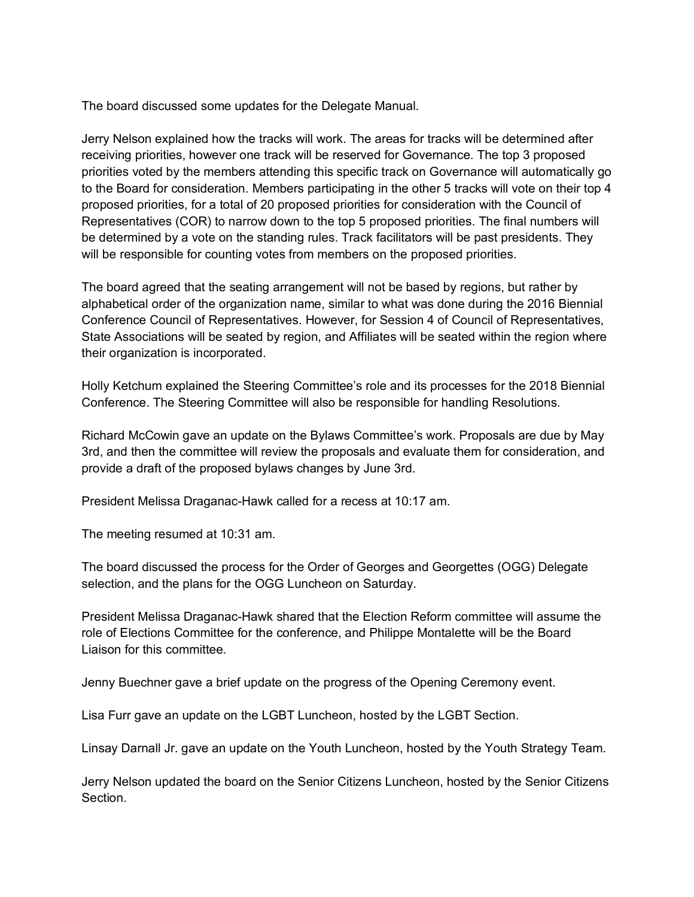The board discussed some updates for the Delegate Manual.

Jerry Nelson explained how the tracks will work. The areas for tracks will be determined after receiving priorities, however one track will be reserved for Governance. The top 3 proposed priorities voted by the members attending this specific track on Governance will automatically go to the Board for consideration. Members participating in the other 5 tracks will vote on their top 4 proposed priorities, for a total of 20 proposed priorities for consideration with the Council of Representatives (COR) to narrow down to the top 5 proposed priorities. The final numbers will be determined by a vote on the standing rules. Track facilitators will be past presidents. They will be responsible for counting votes from members on the proposed priorities.

The board agreed that the seating arrangement will not be based by regions, but rather by alphabetical order of the organization name, similar to what was done during the 2016 Biennial Conference Council of Representatives. However, for Session 4 of Council of Representatives, State Associations will be seated by region, and Affiliates will be seated within the region where their organization is incorporated.

Holly Ketchum explained the Steering Committee's role and its processes for the 2018 Biennial Conference. The Steering Committee will also be responsible for handling Resolutions.

Richard McCowin gave an update on the Bylaws Committee's work. Proposals are due by May 3rd, and then the committee will review the proposals and evaluate them for consideration, and provide a draft of the proposed bylaws changes by June 3rd.

President Melissa Draganac-Hawk called for a recess at 10:17 am.

The meeting resumed at 10:31 am.

The board discussed the process for the Order of Georges and Georgettes (OGG) Delegate selection, and the plans for the OGG Luncheon on Saturday.

President Melissa Draganac-Hawk shared that the Election Reform committee will assume the role of Elections Committee for the conference, and Philippe Montalette will be the Board Liaison for this committee.

Jenny Buechner gave a brief update on the progress of the Opening Ceremony event.

Lisa Furr gave an update on the LGBT Luncheon, hosted by the LGBT Section.

Linsay Darnall Jr. gave an update on the Youth Luncheon, hosted by the Youth Strategy Team.

Jerry Nelson updated the board on the Senior Citizens Luncheon, hosted by the Senior Citizens Section.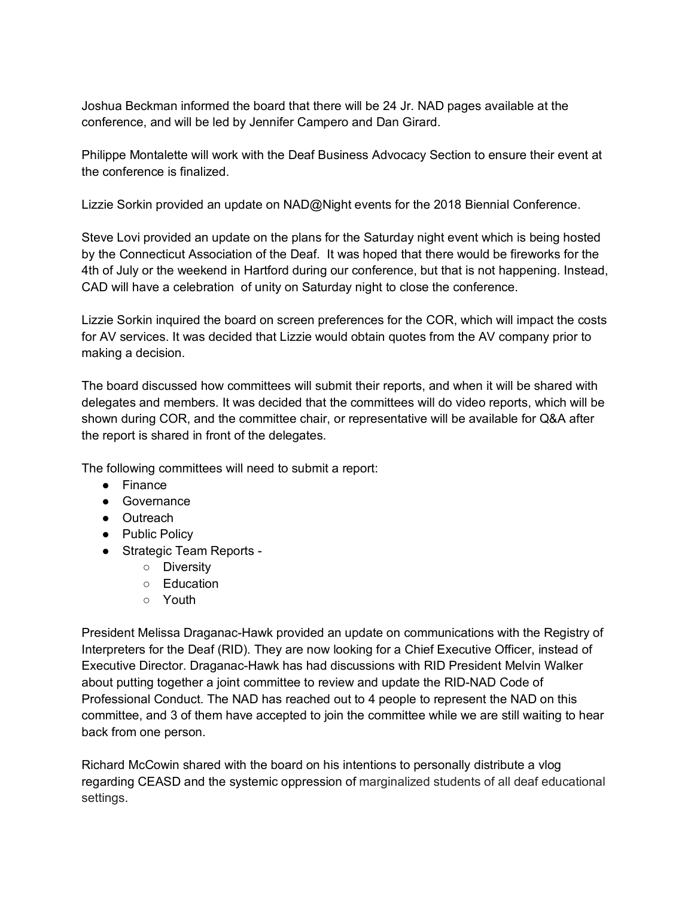Joshua Beckman informed the board that there will be 24 Jr. NAD pages available at the conference, and will be led by Jennifer Campero and Dan Girard.

Philippe Montalette will work with the Deaf Business Advocacy Section to ensure their event at the conference is finalized.

Lizzie Sorkin provided an update on NAD@Night events for the 2018 Biennial Conference.

Steve Lovi provided an update on the plans for the Saturday night event which is being hosted by the Connecticut Association of the Deaf. It was hoped that there would be fireworks for the 4th of July or the weekend in Hartford during our conference, but that is not happening. Instead, CAD will have a celebration of unity on Saturday night to close the conference.

Lizzie Sorkin inquired the board on screen preferences for the COR, which will impact the costs for AV services. It was decided that Lizzie would obtain quotes from the AV company prior to making a decision.

The board discussed how committees will submit their reports, and when it will be shared with delegates and members. It was decided that the committees will do video reports, which will be shown during COR, and the committee chair, or representative will be available for Q&A after the report is shared in front of the delegates.

The following committees will need to submit a report:

- Finance
- Governance
- Outreach
- Public Policy
- Strategic Team Reports
	- Diversity
	- Education
	- Youth

President Melissa Draganac-Hawk provided an update on communications with the Registry of Interpreters for the Deaf (RID). They are now looking for a Chief Executive Officer, instead of Executive Director. Draganac-Hawk has had discussions with RID President Melvin Walker about putting together a joint committee to review and update the RID-NAD Code of Professional Conduct. The NAD has reached out to 4 people to represent the NAD on this committee, and 3 of them have accepted to join the committee while we are still waiting to hear back from one person.

Richard McCowin shared with the board on his intentions to personally distribute a vlog regarding CEASD and the systemic oppression of marginalized students of all deaf educational settings.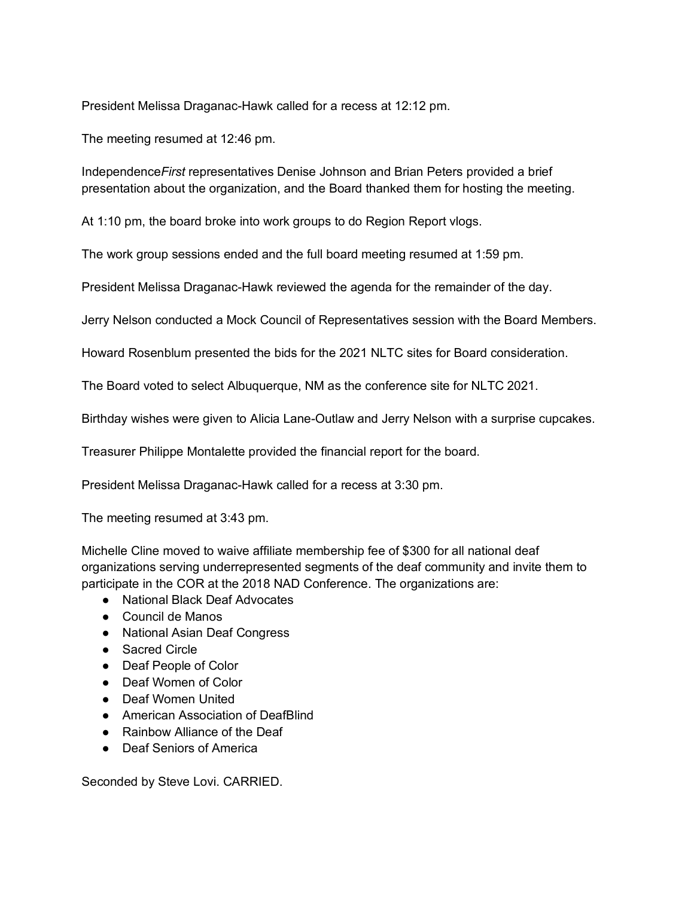President Melissa Draganac-Hawk called for a recess at 12:12 pm.

The meeting resumed at 12:46 pm.

Independence*First* representatives Denise Johnson and Brian Peters provided a brief presentation about the organization, and the Board thanked them for hosting the meeting.

At 1:10 pm, the board broke into work groups to do Region Report vlogs.

The work group sessions ended and the full board meeting resumed at 1:59 pm.

President Melissa Draganac-Hawk reviewed the agenda for the remainder of the day.

Jerry Nelson conducted a Mock Council of Representatives session with the Board Members.

Howard Rosenblum presented the bids for the 2021 NLTC sites for Board consideration.

The Board voted to select Albuquerque, NM as the conference site for NLTC 2021.

Birthday wishes were given to Alicia Lane-Outlaw and Jerry Nelson with a surprise cupcakes.

Treasurer Philippe Montalette provided the financial report for the board.

President Melissa Draganac-Hawk called for a recess at 3:30 pm.

The meeting resumed at 3:43 pm.

Michelle Cline moved to waive affiliate membership fee of \$300 for all national deaf organizations serving underrepresented segments of the deaf community and invite them to participate in the COR at the 2018 NAD Conference. The organizations are:

- National Black Deaf Advocates
- Council de Manos
- National Asian Deaf Congress
- Sacred Circle
- Deaf People of Color
- Deaf Women of Color
- Deaf Women United
- American Association of DeafBlind
- Rainbow Alliance of the Deaf
- Deaf Seniors of America

Seconded by Steve Lovi. CARRIED.